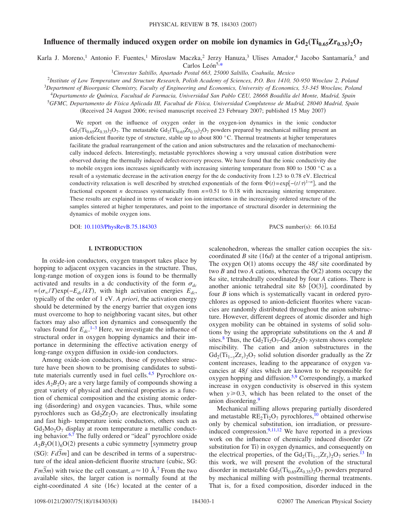# **Influence of thermally induced oxygen order on mobile ion dynamics in**  $Gd_2(Ti_{0.65}Zr_{0.35})$ **,**  $O_7$

Karla J. Moreno,<sup>1</sup> Antonio F. Fuentes,<sup>1</sup> Miroslaw Maczka,<sup>2</sup> Jerzy Hanuza,<sup>3</sup> Ulises Amador,<sup>4</sup> Jacobo Santamaría,<sup>5</sup> and<br>Carlos León<sup>5,\*</sup>

<sup>1</sup>Cinvestav Saltillo, Apartado Postal 663, 25000 Saltillo, Coahuila, Mexico

2 *Institute of Low Temperature and Structure Research, Polish Academy of Sciences, P.O. Box 1410, 50-950 Wroclaw 2, Poland*

<sup>3</sup>*Department of Bioorganic Chemistry, Faculty of Engineering and Economics, University of Economics, 53-345 Wroclaw, Poland*

<sup>4</sup>*Departamento de Química, Facultad de Farmacia, Universidad San Pablo CEU, 28668 Boadilla del Monte, Madrid, Spain*

<sup>5</sup>*GFMC, Departamento de Física Aplicada III, Facultad de Física, Universidad Complutense de Madrid, 28040 Madrid, Spain*

(Received 24 August 2006; revised manuscript received 23 February 2007; published 15 May 2007)

We report on the influence of oxygen order in the oxygen-ion dynamics in the ionic conductor  $Gd_2(Ti_{0.65}Zr_{0.35})_2O_7$ . The metastable  $Gd_2(Ti_{0.65}Zr_{0.35})_2O_7$  powders prepared by mechanical milling present an anion-deficient fluorite type of structure, stable up to about 800 °C. Thermal treatments at higher temperatures facilitate the gradual rearrangement of the cation and anion substructures and the relaxation of mechanochemically induced defects. Interestingly, metastable pyrochlores showing a very unusual cation distribution were observed during the thermally induced defect-recovery process. We have found that the ionic conductivity due to mobile oxygen ions increases significantly with increasing sintering temperature from 800 to 1500 °C as a result of a systematic decrease in the activation energy for the dc conductivity from 1.23 to 0.78 eV. Electrical conductivity relaxation is well described by stretched exponentials of the form  $\Phi(t) = \exp[-(t/\tau)^{1-n}]$ , and the fractional exponent *n* decreases systematically from *n*=0.51 to 0.18 with increasing sintering temperature. These results are explained in terms of weaker ion-ion interactions in the increasingly ordered structure of the samples sintered at higher temperatures, and point to the importance of structural disorder in determining the dynamics of mobile oxygen ions.

DOI: [10.1103/PhysRevB.75.184303](http://dx.doi.org/10.1103/PhysRevB.75.184303)

PACS number(s): 66.10.Ed

## **I. INTRODUCTION**

In oxide-ion conductors, oxygen transport takes place by hopping to adjacent oxygen vacancies in the structure. Thus, long-range motion of oxygen ions is found to be thermally activated and results in a dc conductivity of the form  $\sigma_{dc}$  $\epsilon = (\sigma_{\infty}/T) \exp(-E_{dc}/kT)$ , with high activation energies  $E_{dc}$ , typically of the order of 1 eV. *A priori*, the activation energy should be determined by the energy barrier that oxygen ions must overcome to hop to neighboring vacant sites, but other factors may also affect ion dynamics and consequently the values found for  $E_{dc}$ <sup>[1](#page-6-1)[–3](#page-6-2)</sup> Here, we investigate the influence of structural order in oxygen hopping dynamics and their importance in determining the effective activation energy of long-range oxygen diffusion in oxide-ion conductors.

Among oxide-ion conductors, those of pyrochlore structure have been shown to be promising candidates to substi-tute materials currently used in fuel cells.<sup>4,[5](#page-6-4)</sup> Pyrochlore oxides  $A_2B_2O_7$  are a very large family of compounds showing a great variety of physical and chemical properties as a function of chemical composition and the existing atomic ordering (disordering) and oxygen vacancies. Thus, while some pyrochlores such as  $Gd_2Zr_2O_7$  are electronically insulating and fast high- temperature ionic conductors, others such as  $Gd_2Mo_2O_7$  display at room temperature a metallic conduct-ing behavior.<sup>6[,7](#page-6-6)</sup> The fully ordered or "ideal" pyrochlore oxide  $A_2B_2O(1)_6O(2)$  presents a cubic symmetry [symmetry group  $(SG): Fd\overline{3}m$  and can be described in terms of a superstructure of the ideal anion-deficient fluorite structure (cubic, SG: *Fm3m*) with twice the cell constant,  $a \approx 10 \text{ Å}$ .<sup>[7](#page-6-6)</sup> From the two available sites, the larger cation is normally found at the eight-coordinated *A* site (16*c*) located at the center of a

scalenohedron, whereas the smaller cation occupies the sixcoordinated  $B$  site  $(16d)$  at the center of a trigonal antiprism. The oxygen  $O(1)$  atoms occupy the  $48f$  site coordinated by two  $B$  and two  $A$  cations, whereas the  $O(2)$  atoms occupy the 8*a* site, tetrahedrally coordinated by four *A* cations. There is another anionic tetrahedral site  $8b$  [O(3)], coordinated by four *B* ions which is systematically vacant in ordered pyrochlores as opposed to anion-deficient fluorites where vacancies are randomly distributed throughout the anion substructure. However, different degrees of atomic disorder and high oxygen mobility can be obtained in systems of solid solutions by using the appropriate substitutions on the *A* and *B* sites.<sup>8</sup> Thus, the  $Gd_2Ti_2O_7-Gd_2Zr_2O_7$  system shows complete miscibility. The cation and anion substructures in the Gd<sub>2</sub>(Ti<sub>1−y</sub>Zr<sub>y</sub>)<sub>2</sub>O<sub>7</sub> solid solution disorder gradually as the Zr content increases, leading to the appearance of oxygen vacancies at 48*f* sites which are known to be responsible for oxygen hopping and diffusion.<sup>5,[9](#page-7-0)</sup> Correspondingly, a marked increase in oxygen conductivity is observed in this system when  $y \ge 0.3$ , which has been related to the onset of the anion disordering.<sup>9</sup>

Mechanical milling allows preparing partially disordered and metastable  $RE_2Ti_2O_7$  pyrochlores,<sup>10</sup> obtained otherwise only by chemical substitution, ion irradiation, or pressureinduced compression. $9,11,12$  $9,11,12$  $9,11,12$  We have reported in a previous work on the influence of chemically induced disorder (Zr substitution for Ti) in oxygen dynamics, and consequently on the electrical properties, of the  $Gd_2(Ti_{1-y}Zr_y)_2O_7$  series.<sup>13</sup> In this work, we will present the evolution of the structural disorder in metastable  $Gd_2(Ti_{0.65}Zr_{0.35})_2O_7$  powders prepared by mechanical milling with postmilling thermal treatments. That is, for a fixed composition, disorder induced in the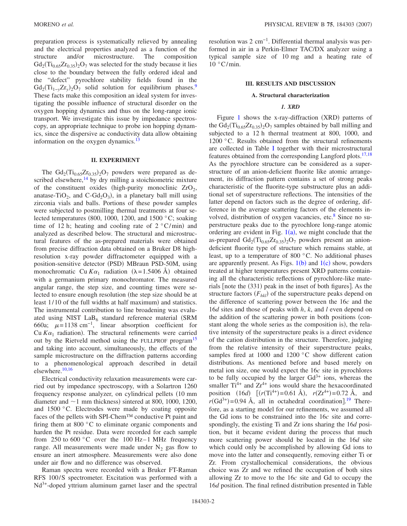preparation process is systematically relieved by annealing and the electrical properties analyzed as a function of the structure and/or microstructure. The composition  $Gd_2(Ti_{0.65}Zr_{0.35})_2O_7$  was selected for the study because it lies close to the boundary between the fully ordered ideal and the "defect" pyrochlore stability fields found in the Gd<sub>2</sub>(Ti<sub>1−y</sub>Zr<sub>y</sub>)<sub>2</sub>O<sub>7</sub> solid solution for equilibrium phases.<sup>9</sup> These facts make this composition an ideal system for investigating the possible influence of structural disorder on the oxygen hopping dynamics and thus on the long-range ionic transport. We investigate this issue by impedance spectroscopy, an appropriate technique to probe ion hopping dynamics, since the dispersive ac conductivity data allow obtaining information on the oxygen dynamics.<sup>13</sup>

## **II. EXPERIMENT**

The  $Gd_2(Ti_{0.65}Zr_{0.35})_2O_7$  powders were prepared as described elsewhere, $14$  by dry milling a stoichiometric mixture of the constituent oxides (high-purity monoclinic  $ZrO<sub>2</sub>$ , anatase-TiO<sub>2</sub>, and C-Gd<sub>2</sub>O<sub>3</sub>), in a planetary ball mill using zirconia vials and balls. Portions of these powder samples were subjected to postmilling thermal treatments at four selected temperatures (800, 1000, 1200, and 1500 °C; soaking time of 12 h; heating and cooling rate of  $2^{\circ}$ C/min) and analyzed as described below. The structural and microstructural features of the as-prepared materials were obtained from precise diffraction data obtained on a Bruker D8 highresolution x-ray powder diffractometer equipped with a position-sensitive detector (PSD) MBraun PSD-50M, using monochromatic Cu  $K\alpha_1$  radiation ( $\lambda = 1.5406$  Å) obtained with a germanium primary monochromator. The measured angular range, the step size, and counting times were selected to ensure enough resolution (the step size should be at least 1/10 of the full widths at half maximum) and statistics. The instrumental contribution to line broadening was evaluated using NIST  $LaB_6$  standard reference material (SRM 660a;  $\mu$ =1138 cm<sup>-1</sup>, linear absorption coefficient for Cu  $K\alpha_1$  radiation). The structural refinements were carried out by the Rietveld method using the FULLPROF program<sup>15</sup> and taking into account, simultaneously, the effects of the sample microstructure on the diffraction patterns according to a phenomenological approach described in detail elsewhere.<sup>10[,16](#page-7-7)</sup>

Electrical conductivity relaxation measurements were carried out by impedance spectroscopy, with a Solartron 1260 frequency response analyzer, on cylindrical pellets 10 mm diameter and  $\sim$  1 mm thickness) sintered at 800, 1000, 1200, and 1500 °C. Electrodes were made by coating opposite faces of the pellets with SPI-Chem™ conductive Pt paint and firing them at 800 $\degree$ C to eliminate organic components and harden the Pt residue. Data were recorded for each sample from 250 to 600  $^{\circ}$ C over the 100 Hz–1 MHz frequency range. All measurements were made under  $N_2$  gas flow to ensure an inert atmosphere. Measurements were also done under air flow and no difference was observed.

Raman spectra were recorded with a Bruker FT-Raman RFS 100/S spectrometer. Excitation was performed with a  $Nd^{3+}$ -doped yttrium aluminum garnet laser and the spectral resolution was 2 cm−1. Differential thermal analysis was performed in air in a Perkin-Elmer TAC/DX analyzer using a typical sample size of 10 mg and a heating rate of  $10 °C/min$ .

#### **III. RESULTS AND DISCUSSION**

#### **A. Structural characterization**

#### *1. XRD*

Figure [1](#page-2-0) shows the x-ray-diffraction (XRD) patterns of the  $Gd_2(Ti_{0.65}Zr_{0.35})_2O_7$  samples obtained by ball milling and subjected to a 12 h thermal treatment at 800, 1000, and 1200 °C. Results obtained from the structural refinements are collected in Table [I](#page-3-0) together with their microstructural features obtained from the corresponding Langford plots.<sup>17[,18](#page-7-9)</sup> As the pyrochlore structure can be considered as a superstructure of an anion-deficient fluorite like atomic arrangement, its diffraction pattern contains a set of strong peaks characteristic of the fluorite-type substructure plus an additional set of superstructure reflections. The intensities of the latter depend on factors such as the degree of ordering, difference in the average scattering factors of the elements involved, distribution of oxygen vacancies, etc.<sup>8</sup> Since no superstructure peaks due to the pyrochlore long-range atomic ordering are evident in Fig.  $1(a)$  $1(a)$ , we might conclude that the as-prepared  $Gd_2(Ti_{0.65}Zr_{0.35})_2O_7$  powders present an aniondeficient fluorite type of structure which remains stable, at least, up to a temperature of 800 °C. No additional phases are apparently present. As Figs.  $1(b)$  $1(b)$  and  $1(c)$  show, powders treated at higher temperatures present XRD patterns containing all the characteristic reflections of pyrochlore-like materials [note the (331) peak in the inset of both figures]. As the structure factors  $(F_{hkl})$  of the superstructure peaks depend on the difference of scattering power between the 16*c* and the 16*d* sites and those of peaks with *h*, *k*, and *l* even depend on the addition of the scattering power in both positions (constant along the whole series as the composition is), the relative intensity of the superstructure peaks is a direct evidence of the cation distribution in the structure. Therefore, judging from the relative intensity of their superstructure peaks, samples fired at 1000 and 1200  $\degree$ C show different cation distributions. As mentioned before and based merely on metal ion size, one would expect the 16*c* site in pyrochlores to be fully occupied by the larger  $Gd^{3+}$  ions, whereas the smaller  $Ti^{4+}$  and  $Zr^{4+}$  ions would share the hexacoordinated position  $(16d)$   $[(r(Ti^{4+})=0.61 \text{ Å}), r(Zr^{4+})=0.72 \text{ Å}, \text{ and}$  $r(\text{Gd}^{3+}) = 0.94 \text{ Å}$ , all in octahedral coordination].<sup>[19](#page-7-10)</sup> Therefore, as a starting model for our refinements, we assumed all the Gd ions to be constrained into the 16*c* site and correspondingly, the existing Ti and Zr ions sharing the 16*d* position, but it became evident during the process that much more scattering power should be located in the 16*d* site which could only be accomplished by allowing Gd ions to move into the latter and consequently, removing either Ti or Zr. From crystallochemical considerations, the obvious choice was Zr and we refined the occupation of both sites allowing Zr to move to the 16*c* site and Gd to occupy the 16*d* position. The final refined distribution presented in Table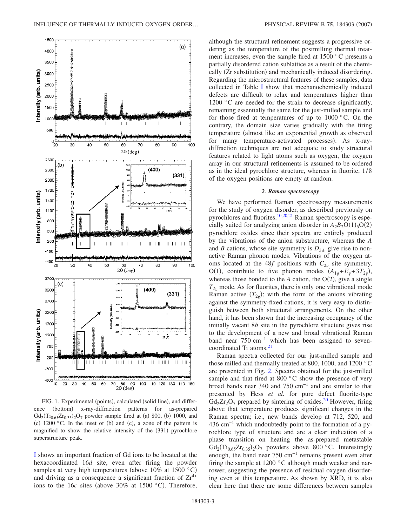<span id="page-2-0"></span>

FIG. 1. Experimental (points), calculated (solid line), and difference (bottom) x-ray-diffraction patterns for as-prepared  $Gd_2(Ti_{0.65}Zr_{0.35})_2O_7$  powder sample fired at (a) 800, (b) 1000, and (c)  $1200$  °C. In the inset of (b) and (c), a zone of the pattern is magnified to show the relative intensity of the (331) pyrochlore superstructure peak.

[I](#page-3-0) shows an important fraction of Gd ions to be located at the hexacoordinated 16*d* site, even after firing the powder samples at very high temperatures (above  $10\%$  at  $1500 °C$ ) and driving as a consequence a significant fraction of  $Zr^{4+}$ ions to the 16*c* sites (above 30% at 1500  $^{\circ}$ C). Therefore,

although the structural refinement suggests a progressive ordering as the temperature of the postmilling thermal treatment increases, even the sample fired at 1500 °C presents a partially disordered cation sublattice as a result of the chemically (Zr substitution) and mechanically induced disordering. Regarding the microstructural features of these samples, data collected in Table [I](#page-3-0) show that mechanochemically induced defects are difficult to relax and temperatures higher than 1200 °C are needed for the strain to decrease significantly, remaining essentially the same for the just-milled sample and for those fired at temperatures of up to  $1000 \degree C$ . On the contrary, the domain size varies gradually with the firing temperature (almost like an exponential growth as observed for many temperature-activated processes). As x-raydiffraction techniques are not adequate to study structural features related to light atoms such as oxygen, the oxygen array in our structural refinements is assumed to be ordered as in the ideal pyrochlore structure, whereas in fluorite, 1/8 of the oxygen positions are empty at random.

#### *2. Raman spectroscopy*

We have performed Raman spectroscopy measurements for the study of oxygen disorder, as described previously on pyrochlores and fluorites.<sup>10,[20](#page-7-11)[,21](#page-7-12)</sup> Raman spectroscopy is especially suited for analyzing anion disorder in  $A_2B_2O(1)_6O(2)$ pyrochlore oxides since their spectra are entirely produced by the vibrations of the anion substructure, whereas the *A* and *B* cations, whose site symmetry is  $D_{3d}$ , give rise to nonactive Raman phonon modes. Vibrations of the oxygen atoms located at the 48*f* positions with  $C_{2v}$  site symmetry, O(1), contribute to five phonon modes  $(A_{1g} + E_g + 3T_{2g})$ , whereas those bonded to the  $A$  cation, the  $O(2)$ , give a single  $T_{2g}$  mode. As for fluorites, there is only one vibrational mode Raman active  $(T_{2g})$ ; with the form of the anions vibrating against the symmetry-fixed cations, it is very easy to distinguish between both structural arrangements. On the other hand, it has been shown that the increasing occupancy of the initially vacant 8*b* site in the pyrochlore structure gives rise to the development of a new and broad vibrational Raman band near  $750 \text{ cm}^{-1}$  which has been assigned to sevencoordinated Ti atoms.<sup>21</sup>

Raman spectra collected for our just-milled sample and those milled and thermally treated at 800, 1000, and 1200 °C are presented in Fig. [2.](#page-3-1) Spectra obtained for the just-milled sample and that fired at 800 $\degree$ C show the presence of very broad bands near 340 and 750 cm−1 and are similar to that presented by Hess *et al.* for pure defect fluorite-type  $Gd_2Zr_2O_7$  prepared by sintering of oxides.<sup>20</sup> However, firing above that temperature produces significant changes in the Raman spectra; i.e., new bands develop at 712, 520, and  $436 \text{ cm}^{-1}$  which undoubtedly point to the formation of a pyrochlore type of structure and are a clear indication of a phase transition on heating the as-prepared metastable  $Gd_2(Ti_{0.65}Zr_{0.35})_2O_7$  powders above 800 °C. Interestingly enough, the band near 750 cm−1 remains present even after firing the sample at  $1200\degree$ C although much weaker and narrower, suggesting the presence of residual oxygen disordering even at this temperature. As shown by XRD, it is also clear here that there are some differences between samples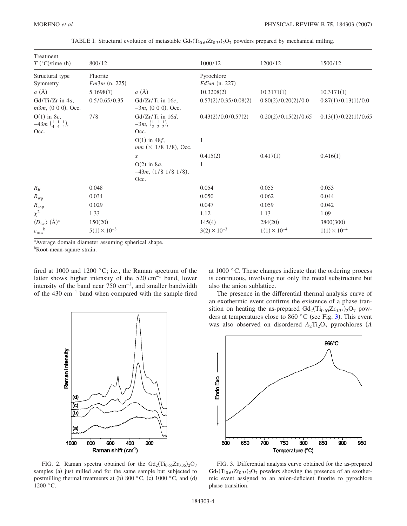<span id="page-3-0"></span>

| Treatment<br>$T$ (°C)/time (h)                                                    | 800/12                      |                                                                               | 1000/12                       | 1200/12               | 1500/12               |
|-----------------------------------------------------------------------------------|-----------------------------|-------------------------------------------------------------------------------|-------------------------------|-----------------------|-----------------------|
| Structural type<br>Symmetry                                                       | Fluorite<br>$Fm3m$ (n. 225) |                                                                               | Pyrochlore<br>$Fd3m$ (n. 227) |                       |                       |
| $a(\AA)$                                                                          | 5.1698(7)                   | a(A)                                                                          | 10.3208(2)                    | 10.3171(1)            | 10.3171(1)            |
| Gd/Ti/Zr in $4a$ ,<br>$m3m$ , $(0 0 0)$ , Occ.                                    | 0.5/0.65/0.35               | $Gd/Zr/Ti$ in 16c,<br>$-3m$ , (0 0 0), Occ.                                   | 0.57(2)/0.35/0.08(2)          | 0.80(2)/0.20(2)/0.0   | 0.87(1)/0.13(1)/0.0   |
| $O(1)$ in 8c,<br>$-43m\left(\frac{1}{4} \frac{1}{4} \frac{1}{4}\right)$ ,<br>Occ. | 7/8                         | $Gd/Zr/Ti$ in 16d,<br>$-3m, (\frac{1}{2}, \frac{1}{2}, \frac{1}{2}),$<br>Occ. | 0.43(2)/0.0/0.57(2)           | 0.20(2)/0.15(2)/0.65  | 0.13(1)/0.22(1)/0.65  |
|                                                                                   |                             | $O(1)$ in 48 $f$ ,<br>$mm (× 1/8 1/8)$ , Occ.                                 |                               |                       |                       |
|                                                                                   |                             | $\boldsymbol{\mathcal{X}}$                                                    | 0.415(2)                      | 0.417(1)              | 0.416(1)              |
|                                                                                   |                             | $O(2)$ in 8a,<br>$-43m$ , $(1/8 1/8 1/8)$ ,<br>Occ.                           | 1                             |                       |                       |
| $R_B$                                                                             | 0.048                       |                                                                               | 0.054                         | 0.055                 | 0.053                 |
| $R_{\rm wp}$                                                                      | 0.034                       |                                                                               | 0.050                         | 0.062                 | 0.044                 |
| $R_{\exp}$                                                                        | 0.029                       |                                                                               | 0.047                         | 0.059                 | 0.042                 |
| $\chi^2$                                                                          | 1.33                        |                                                                               | 1.12                          | 1.13                  | 1.09                  |
| $\langle D_{\rm iso} \rangle$ (Å) <sup>a</sup>                                    | 150(20)                     |                                                                               | 145(4)                        | 284(20)               | 3800(300)             |
| $e_{\rm rms}^{\rm b}$                                                             | $5(1) \times 10^{-3}$       |                                                                               | $3(2) \times 10^{-3}$         | $1(1) \times 10^{-4}$ | $1(1) \times 10^{-4}$ |

TABLE I. Structural evolution of metastable  $Gd_2(Ti_{0.65}Zr_{0.35})_2O_7$  powders prepared by mechanical milling.

<sup>a</sup>Average domain diameter assuming spherical shape.

bRoot-mean-square strain.

fired at 1000 and 1200 °C; i.e., the Raman spectrum of the latter shows higher intensity of the 520 cm $^{-1}$  band, lower intensity of the band near  $750 \text{ cm}^{-1}$ , and smaller bandwidth of the 430 cm−1 band when compared with the sample fired

<span id="page-3-1"></span>

FIG. 2. Raman spectra obtained for the  $Gd_2(Ti_{0.65}Zr_{0.35})_2O_7$ samples (a) just milled and for the same sample but subjected to postmilling thermal treatments at (b) 800  $^{\circ}$ C, (c) 1000  $^{\circ}$ C, and (d) 1200 °C.

at 1000 °C. These changes indicate that the ordering process is continuous, involving not only the metal substructure but also the anion sublattice.

The presence in the differential thermal analysis curve of an exothermic event confirms the existence of a phase transition on heating the as-prepared  $Gd_2(Ti_{0.65}Zr_{0.35})_2O_7$  powders at temperatures close to 860  $^{\circ}$ C (see Fig. [3](#page-3-2)). This event was also observed on disordered  $A_2Ti_2O_7$  pyrochlores (A

<span id="page-3-2"></span>

FIG. 3. Differential analysis curve obtained for the as-prepared  $Gd_2(Ti_{0.65}Zr_{0.35})_2O_7$  powders showing the presence of an exothermic event assigned to an anion-deficient fluorite to pyrochlore phase transition.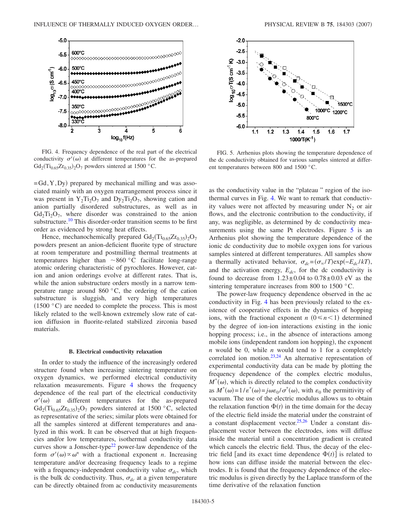<span id="page-4-0"></span>

FIG. 4. Frequency dependence of the real part of the electrical conductivity  $\sigma'(\omega)$  at different temperatures for the as-prepared  $Gd_2(Ti_{0.65}Zr_{0.35})_2O_7$  powders sintered at 1500 °C.

=Gd, Y, Dy) prepared by mechanical milling and was associated mainly with an oxygen rearrangement process since it was present in  $Y_2Ti_2O_7$  and  $Dy_2Ti_2O_7$ , showing cation and anion partially disordered substructures, as well as in  $Gd_2Ti_2O_7$ , where disorder was constrained to the anion substructure.<sup>10</sup> This disorder-order transition seems to be first order as evidenced by strong heat effects.

Hence, mechanochemically prepared  $Gd_2(Ti_{0.65}Zr_{0.35})_2O_7$ powders present an anion-deficient fluorite type of structure at room temperature and postmilling thermal treatments at temperatures higher than  $\sim 860 \degree C$  facilitate long-range atomic ordering characteristic of pyrochlores. However, cation and anion orderings evolve at different rates. That is, while the anion substructure orders mostly in a narrow temperature range around  $860\degree C$ , the ordering of the cation substructure is sluggish, and very high temperatures  $(1500 °C)$  are needed to complete the process. This is most likely related to the well-known extremely slow rate of cation diffusion in fluorite-related stabilized zirconia based materials.

#### **B. Electrical conductivity relaxation**

In order to study the influence of the increasingly ordered structure found when increasing sintering temperature on oxygen dynamics, we performed electrical conductivity relaxation measurements. Figure [4](#page-4-0) shows the frequency dependence of the real part of the electrical conductivity  $\sigma'(\omega)$  at different temperatures for the as-prepared  $Gd_2(Ti_{0.65}Zr_{0.35})_2O_7$  powders sintered at 1500 °C, selected as representative of the series; similar plots were obtained for all the samples sintered at different temperatures and analyzed in this work. It can be observed that at high frequencies and/or low temperatures, isothermal conductivity data curves show a Jonscher-type<sup>22</sup> power-law dependence of the form  $\sigma'(\omega) \propto \omega^n$  with a fractional exponent *n*. Increasing temperature and/or decreasing frequency leads to a regime with a frequency-independent conductivity value  $\sigma_{dc}$ , which is the bulk dc conductivity. Thus,  $\sigma_{dc}$  at a given temperature can be directly obtained from ac conductivity measurements

<span id="page-4-1"></span>

FIG. 5. Arrhenius plots showing the temperature dependence of the dc conductivity obtained for various samples sintered at different temperatures between 800 and 1500 °C.

as the conductivity value in the "plateau " region of the isothermal curves in Fig. [4.](#page-4-0) We want to remark that conductivity values were not affected by measuring under  $N_2$  or air flows, and the electronic contribution to the conductivity, if any, was negligible, as determined by dc conductivity mea-surements using the same Pt electrodes. Figure [5](#page-4-1) is an Arrhenius plot showing the temperature dependence of the ionic dc conductivity due to mobile oxygen ions for various samples sintered at different temperatures. All samples show a thermally activated behavior,  $\sigma_{dc} = (\sigma_{\infty}/T) \exp(-E_{dc}/kT)$ , and the activation energy,  $E_{dc}$ , for the dc conductivity is found to decrease from  $1.23 \pm 0.04$  to  $0.78 \pm 0.03$  eV as the sintering temperature increases from 800 to 1500 °C.

The power-law frequency dependence observed in the ac conductivity in Fig. [4](#page-4-0) has been previously related to the existence of cooperative effects in the dynamics of hopping ions, with the fractional exponent *n*  $(0 \le n < 1)$  determined by the degree of ion-ion interactions existing in the ionic hopping process; i.e., in the absence of interactions among mobile ions (independent random ion hopping), the exponent *n* would be 0, while *n* would tend to 1 for a completely correlated ion motion.<sup>23,[24](#page-7-15)</sup> An alternative representation of experimental conductivity data can be made by plotting the frequency dependence of the complex electric modulus,  $M^*(\omega)$ , which is directly related to the complex conductivity as  $M^*(\omega) = 1/\varepsilon^*(\omega) = j\omega\varepsilon_0/\sigma^*(\omega)$ , with  $\varepsilon_0$  the permittivity of vacuum. The use of the electric modulus allows us to obtain the relaxation function  $\Phi(t)$  in the time domain for the decay of the electric field inside the material under the constraint of a constant displacement vector. $25,26$  $25,26$  Under a constant displacement vector between the electrodes, ions will diffuse inside the material until a concentration gradient is created which cancels the electric field. Thus, the decay of the electric field [and its exact time dependence  $\Phi(t)$ ] is related to how ions can diffuse inside the material between the electrodes. It is found that the frequency dependence of the electric modulus is given directly by the Laplace transform of the time derivative of the relaxation function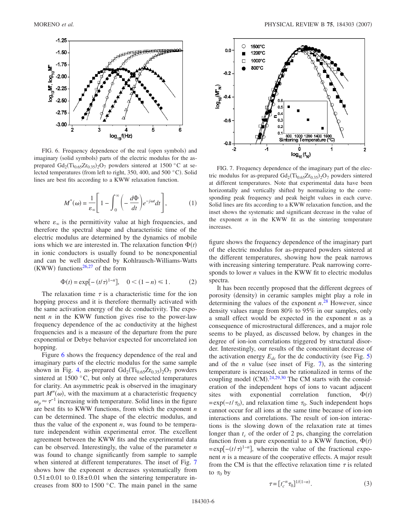<span id="page-5-0"></span>

FIG. 6. Frequency dependence of the real (open symbols) and imaginary (solid symbols) parts of the electric modulus for the asprepared  $Gd_2(Ti_{0.65}Zr_{0.35})_2O_7$  powders sintered at 1500 °C at selected temperatures (from left to right, 350, 400, and 500 °C). Solid lines are best fits according to a KWW relaxation function.

$$
M^*(\omega) = \frac{1}{\varepsilon_{\infty}} \left[ 1 - \int_0^\infty \left( -\frac{d\Phi}{dt} \right) e^{-j\omega t} dt \right],\tag{1}
$$

where  $\varepsilon_{\infty}$  is the permittivity value at high frequencies, and therefore the spectral shape and characteristic time of the electric modulus are determined by the dynamics of mobile ions which we are interested in. The relaxation function  $\Phi(t)$ in ionic conductors is usually found to be nonexponential and can be well described by Kohlrausch-Williams-Watts (KWW) functions<sup>26[,27](#page-7-18)</sup> of the form

$$
\Phi(t) = \exp[-(t/\tau)^{1-n}], \quad 0 < (1-n) \le 1. \tag{2}
$$

The relaxation time  $\tau$  is a characteristic time for the ion hopping process and it is therefore thermally activated with the same activation energy of the dc conductivity. The exponent *n* in the KWW function gives rise to the power-law frequency dependence of the ac conductivity at the highest frequencies and is a measure of the departure from the pure exponential or Debye behavior expected for uncorrelated ion hopping.

Figure [6](#page-5-0) shows the frequency dependence of the real and imaginary parts of the electric modulus for the same sample shown in Fig. [4,](#page-4-0) as-prepared  $Gd_2(Ti_{0.65}Zr_{0.35})_2O_7$  powders sintered at  $1500 \degree C$ , but only at three selected temperatures for clarity. An asymmetric peak is observed in the imaginary part  $M''(\omega)$ , with the maximum at a characteristic frequency  $\omega_p \approx \tau^{-1}$  increasing with temperature. Solid lines in the figure are best fits to KWW functions, from which the exponent *n* can be determined. The shape of the electric modulus, and thus the value of the exponent *n*, was found to be temperature independent within experimental error. The excellent agreement between the KWW fits and the experimental data can be observed. Interestingly, the value of the parameter *n* was found to change significantly from sample to sample when sintered at different temperatures. The inset of Fig. [7](#page-5-1) shows how the exponent *n* decreases systematically from  $0.51 \pm 0.01$  to  $0.18 \pm 0.01$  when the sintering temperature increases from 800 to 1500 $\degree$ C. The main panel in the same

<span id="page-5-1"></span>

FIG. 7. Frequency dependence of the imaginary part of the electric modulus for as-prepared  $Gd_2(Ti_{0.65}Zr_{0.35})_2O_7$  powders sintered at different temperatures. Note that experimental data have been horizontally and vertically shifted by normalizing to the corresponding peak frequency and peak height values in each curve. Solid lines are fits according to a KWW relaxation function, and the inset shows the systematic and significant decrease in the value of the exponent  $n$  in the KWW fit as the sintering temperature increases.

figure shows the frequency dependence of the imaginary part of the electric modulus for as-prepared powders sintered at the different temperatures, showing how the peak narrows with increasing sintering temperature. Peak narrowing corresponds to lower *n* values in the KWW fit to electric modulus spectra.

It has been recently proposed that the different degrees of porosity (density) in ceramic samples might play a role in determining the values of the exponent *n*. [28](#page-7-19) However, since density values range from 80% to 95% in our samples, only a small effect would be expected in the exponent *n* as a consequence of microstructural differences, and a major role seems to be played, as discussed below, by changes in the degree of ion-ion correlations triggered by structural disorder. Interestingly, our results of the concomitant decrease of the activation energy  $E_{dc}$  for the dc conductivity (see Fig. [5](#page-4-1)) and of the  $n$  value (see inset of Fig. [7](#page-5-1)), as the sintering temperature is increased, can be rationalized in terms of the coupling model  $(CM)$ <sup>[24](#page-7-15)[,29,](#page-7-20)[30](#page-7-21)</sup> The CM starts with the consideration of the independent hops of ions to vacant adjacent sites with exponential correlation function,  $\Phi(t)$  $=\exp(-t/\tau_0)$ , and relaxation time  $\tau_0$ . Such independent hops cannot occur for all ions at the same time because of ion-ion interactions and correlations. The result of ion-ion interactions is the slowing down of the relaxation rate at times longer than  $t_c$  of the order of 2 ps, changing the correlation function from a pure exponential to a KWW function,  $\Phi(t)$  $=\exp[-(t/\tau)^{1-n}]$ , wherein the value of the fractional exponent *n* is a measure of the cooperative effects. A major result from the CM is that the effective relaxation time  $\tau$  is related to  $\tau_0$  by

<span id="page-5-2"></span>
$$
\tau = [t_c^{-n} \tau_0]^{1/(1-n)}.
$$
\n(3)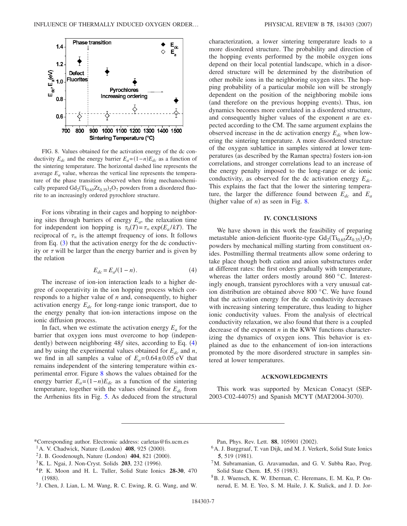<span id="page-6-9"></span>

FIG. 8. Values obtained for the activation energy of the dc conductivity  $E_{dc}$  and the energy barrier  $E_a = (1-n)E_{dc}$  as a function of the sintering temperature. The horizontal dashed line represents the average  $E_a$  value, whereas the vertical line represents the temperature of the phase transition observed when firing mechanochemically prepared  $Gd_2(Ti_{0.65}Zr_{0.35})_2O_7$  powders from a disordered fluorite to an increasingly ordered pyrochlore structure.

For ions vibrating in their cages and hopping to neighboring sites through barriers of energy  $E_a$ , the relaxation time for independent ion hopping is  $\tau_0(T) = \tau_\infty \exp(E_a / kT)$ . The reciprocal of  $\tau_{\infty}$  is the attempt frequency of ions. It follows from Eq.  $(3)$  $(3)$  $(3)$  that the activation energy for the dc conductivity or  $\tau$  will be larger than the energy barrier and is given by the relation

$$
E_{dc} = E_a/(1 - n). \tag{4}
$$

<span id="page-6-8"></span>The increase of ion-ion interaction leads to a higher degree of cooperativity in the ion hopping process which corresponds to a higher value of *n* and, consequently, to higher activation energy  $E_{dc}$  for long-range ionic transport, due to the energy penalty that ion-ion interactions impose on the ionic diffusion process.

In fact, when we estimate the activation energy  $E_a$  for the barrier that oxygen ions must overcome to hop (indepen-dently) between neighboring [4](#page-6-8)8*f* sites, according to Eq. (4) and by using the experimental values obtained for  $E_{dc}$  and  $n$ , we find in all samples a value of  $E_a = 0.64 \pm 0.05$  eV that remains independent of the sintering temperature within experimental error. Figure [8](#page-6-9) shows the values obtained for the energy barrier  $E_a = (1-n)E_{dc}$  as a function of the sintering temperature, together with the values obtained for  $E_{dc}$  from the Arrhenius fits in Fig. [5.](#page-4-1) As deduced from the structural characterization, a lower sintering temperature leads to a more disordered structure. The probability and direction of the hopping events performed by the mobile oxygen ions depend on their local potential landscape, which in a disordered structure will be determined by the distribution of other mobile ions in the neighboring oxygen sites. The hopping probability of a particular mobile ion will be strongly dependent on the position of the neighboring mobile ions (and therefore on the previous hopping events). Thus, ion dynamics becomes more correlated in a disordered structure, and consequently higher values of the exponent *n* are expected according to the CM. The same argument explains the observed increase in the dc activation energy  $E_{dc}$  when lowering the sintering temperature. A more disordered structure of the oxygen sublattice in samples sintered at lower temperatures (as described by the Raman spectra) fosters ion-ion correlations, and stronger correlations lead to an increase of the energy penalty imposed to the long-range or dc ionic conductivity, as observed for the dc activation energy  $E_{dc}$ . This explains the fact that the lower the sintering temperature, the larger the difference found between  $E_{dc}$  and  $E_{a}$ (higher value of  $n$ ) as seen in Fig. [8.](#page-6-9)

#### **IV. CONCLUSIONS**

We have shown in this work the feasibility of preparing metastable anion-deficient fluorite-type  $Gd_2(Ti_{0.65}Zr_{0.35})_2O_7$ powders by mechanical milling starting from constituent oxides. Postmilling thermal treatments allow some ordering to take place though both cation and anion substructures order at different rates: the first orders gradually with temperature, whereas the latter orders mostly around 860 °C. Interestingly enough, transient pyrochlores with a very unusual cation distribution are obtained above 800 °C. We have found that the activation energy for the dc conductivity decreases with increasing sintering temperature, thus leading to higher ionic conductivity values. From the analysis of electrical conductivity relaxation, we also found that there is a coupled decrease of the exponent *n* in the KWW functions characterizing the dynamics of oxygen ions. This behavior is explained as due to the enhancement of ion-ion interactions promoted by the more disordered structure in samples sintered at lower temperatures.

## **ACKNOWLEDGMENTS**

This work was supported by Mexican Conacyt (SEP-2003-C02-44075) and Spanish MCYT (MAT2004-3070).

- <span id="page-6-0"></span>\*Corresponding author. Electronic address: carletas@fis.ucm.es
- <span id="page-6-1"></span><sup>1</sup> A. V. Chadwick, Nature (London) **408**, 925 (2000).
- <sup>2</sup> J. B. Goodenough, Nature (London) **404**, 821 (2000).
- <span id="page-6-2"></span><sup>3</sup>K. L. Ngai, J. Non-Cryst. Solids **203**, 232 (1996).
- <span id="page-6-3"></span>4P. K. Moon and H. L. Tuller, Solid State Ionics **28-30**, 470  $(1988).$
- <span id="page-6-4"></span><sup>5</sup> J. Chen, J. Lian, L. M. Wang, R. C. Ewing, R. G. Wang, and W.

Pan, Phys. Rev. Lett. 88, 105901 (2002).

- <span id="page-6-5"></span><sup>6</sup> A. J. Burggraaf, T. van Dijk, and M. J. Verkerk, Solid State Ionics **5**, 519 (1981).
- <span id="page-6-6"></span>7M. Subramanian, G. Aravamudan, and G. V. Subba Rao, Prog. Solid State Chem. **15**, 55 (1983).
- <span id="page-6-7"></span>8B. J. Wuensch, K. W. Eberman, C. Heremans, E. M. Ku, P. Onnerud, E. M. E. Yeo, S. M. Haile, J. K. Stalick, and J. D. Jor-